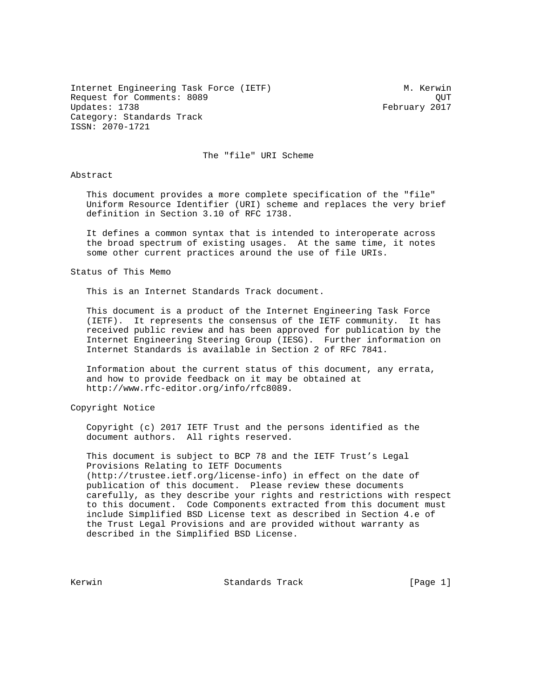Internet Engineering Task Force (IETF) M. Kerwin Request for Comments: 8089 QUT Category: Standards Track ISSN: 2070-1721

February 2017

The "file" URI Scheme

Abstract

 This document provides a more complete specification of the "file" Uniform Resource Identifier (URI) scheme and replaces the very brief definition in Section 3.10 of RFC 1738.

 It defines a common syntax that is intended to interoperate across the broad spectrum of existing usages. At the same time, it notes some other current practices around the use of file URIs.

Status of This Memo

This is an Internet Standards Track document.

 This document is a product of the Internet Engineering Task Force (IETF). It represents the consensus of the IETF community. It has received public review and has been approved for publication by the Internet Engineering Steering Group (IESG). Further information on Internet Standards is available in Section 2 of RFC 7841.

 Information about the current status of this document, any errata, and how to provide feedback on it may be obtained at http://www.rfc-editor.org/info/rfc8089.

Copyright Notice

 Copyright (c) 2017 IETF Trust and the persons identified as the document authors. All rights reserved.

 This document is subject to BCP 78 and the IETF Trust's Legal Provisions Relating to IETF Documents (http://trustee.ietf.org/license-info) in effect on the date of publication of this document. Please review these documents carefully, as they describe your rights and restrictions with respect to this document. Code Components extracted from this document must include Simplified BSD License text as described in Section 4.e of the Trust Legal Provisions and are provided without warranty as described in the Simplified BSD License.

Kerwin Standards Track [Page 1]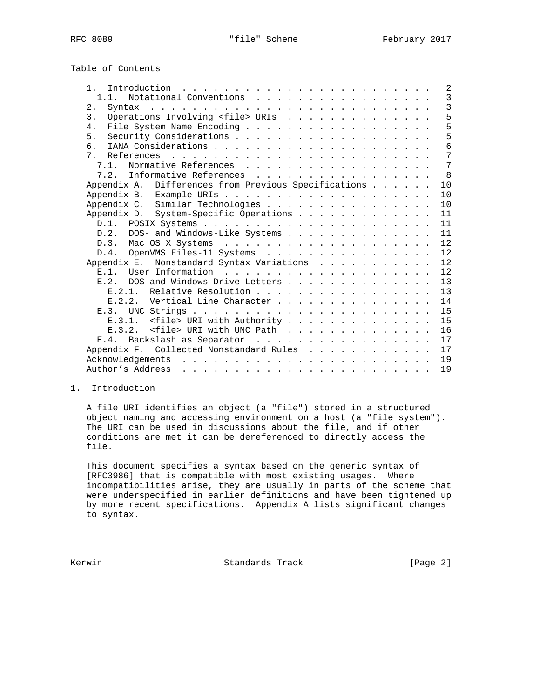| Table of Contents                                                                        |  |  |                 |
|------------------------------------------------------------------------------------------|--|--|-----------------|
| 1 <sup>1</sup><br>Introduction $\ldots \ldots \ldots \ldots \ldots \ldots \ldots \ldots$ |  |  | 2               |
| Notational Conventions<br>1.1.                                                           |  |  | 3               |
| 2.<br>Syntax                                                                             |  |  | 3               |
| Operations Involving <file> URIs<br/><math>\mathcal{E}</math></file>                     |  |  | 5               |
| 4.                                                                                       |  |  | 5               |
| 5.                                                                                       |  |  | 5               |
| რ.                                                                                       |  |  | 6               |
| 7                                                                                        |  |  | 7               |
| Normative References<br>7.1.                                                             |  |  | $7\phantom{.0}$ |
| 7.2. Informative References                                                              |  |  | 8               |
| Appendix A. Differences from Previous Specifications                                     |  |  | 10              |
|                                                                                          |  |  | 10              |
| Appendix C. Similar Technologies                                                         |  |  | 10              |
| Appendix D. System-Specific Operations                                                   |  |  | 11              |
|                                                                                          |  |  | 11              |
| DOS- and Windows-Like Systems<br>D.2.                                                    |  |  | 11              |
|                                                                                          |  |  | 12              |
| D.4. OpenVMS Files-11 Systems                                                            |  |  | 12              |
| Appendix E. Nonstandard Syntax Variations                                                |  |  | 12              |
| F.1.                                                                                     |  |  | 12              |
| DOS and Windows Drive Letters<br>F. 2.                                                   |  |  | 13              |
| Relative Resolution<br>E 2 1                                                             |  |  | 13              |
| Vertical Line Character<br>F. 2.2.                                                       |  |  | 14              |
| F.3                                                                                      |  |  | 15              |
| E.3.1. <file> URI with Authority</file>                                                  |  |  | 15              |
| F. 3.2.                                                                                  |  |  | 16              |
| <file> URI with UNC Path</file>                                                          |  |  |                 |
| E.4. Backslash as Separator                                                              |  |  | 17              |

Appendix F. Collected Nonstandard Rules . . . . . . . . . . . 17 Acknowledgements . . . . . . . . . . . . . . . . . . . . . . . . 19 Author's Address . . . . . . . . . . . . . . . . . . . . . . . . 19

# 1. Introduction

 A file URI identifies an object (a "file") stored in a structured object naming and accessing environment on a host (a "file system"). The URI can be used in discussions about the file, and if other conditions are met it can be dereferenced to directly access the file.

 This document specifies a syntax based on the generic syntax of [RFC3986] that is compatible with most existing usages. Where incompatibilities arise, they are usually in parts of the scheme that were underspecified in earlier definitions and have been tightened up by more recent specifications. Appendix A lists significant changes to syntax.

Kerwin Standards Track [Page 2]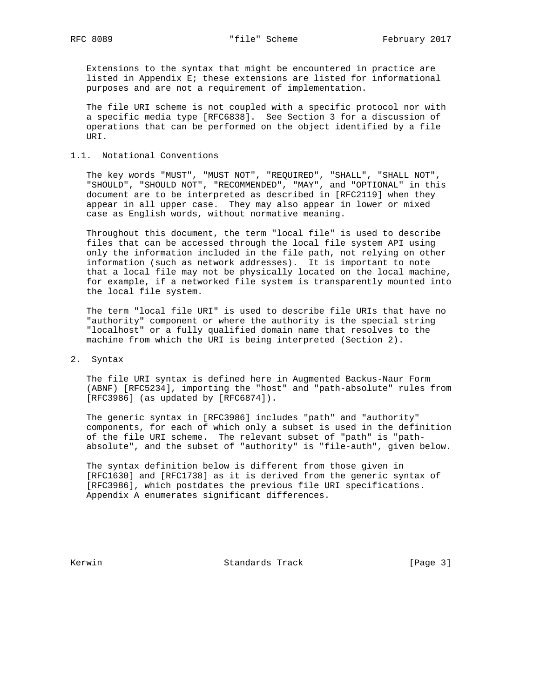Extensions to the syntax that might be encountered in practice are listed in Appendix E; these extensions are listed for informational purposes and are not a requirement of implementation.

 The file URI scheme is not coupled with a specific protocol nor with a specific media type [RFC6838]. See Section 3 for a discussion of operations that can be performed on the object identified by a file URI.

# 1.1. Notational Conventions

 The key words "MUST", "MUST NOT", "REQUIRED", "SHALL", "SHALL NOT", "SHOULD", "SHOULD NOT", "RECOMMENDED", "MAY", and "OPTIONAL" in this document are to be interpreted as described in [RFC2119] when they appear in all upper case. They may also appear in lower or mixed case as English words, without normative meaning.

 Throughout this document, the term "local file" is used to describe files that can be accessed through the local file system API using only the information included in the file path, not relying on other information (such as network addresses). It is important to note that a local file may not be physically located on the local machine, for example, if a networked file system is transparently mounted into the local file system.

 The term "local file URI" is used to describe file URIs that have no "authority" component or where the authority is the special string "localhost" or a fully qualified domain name that resolves to the machine from which the URI is being interpreted (Section 2).

### 2. Syntax

 The file URI syntax is defined here in Augmented Backus-Naur Form (ABNF) [RFC5234], importing the "host" and "path-absolute" rules from [RFC3986] (as updated by [RFC6874]).

 The generic syntax in [RFC3986] includes "path" and "authority" components, for each of which only a subset is used in the definition of the file URI scheme. The relevant subset of "path" is "path absolute", and the subset of "authority" is "file-auth", given below.

 The syntax definition below is different from those given in [RFC1630] and [RFC1738] as it is derived from the generic syntax of [RFC3986], which postdates the previous file URI specifications. Appendix A enumerates significant differences.

Kerwin Standards Track [Page 3]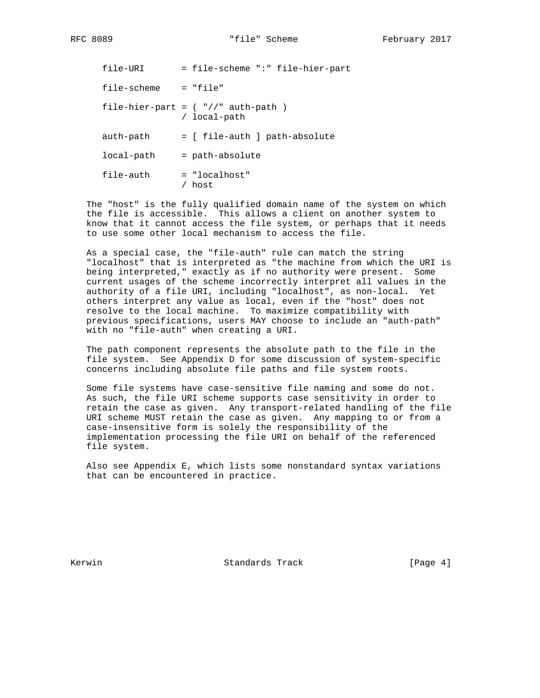| file-URI    | = file-scheme ":" file-hier-part                        |
|-------------|---------------------------------------------------------|
| file-scheme | $= "file"$                                              |
|             | file-hier-part = $($ "//" auth-path $)$<br>/ local-path |
| auth-path   | = [ file-auth ] path-absolute                           |
| local-path  | = path-absolute                                         |
| file-auth   | $=$ "localhost"<br>host                                 |

 The "host" is the fully qualified domain name of the system on which the file is accessible. This allows a client on another system to know that it cannot access the file system, or perhaps that it needs to use some other local mechanism to access the file.

 As a special case, the "file-auth" rule can match the string "localhost" that is interpreted as "the machine from which the URI is being interpreted," exactly as if no authority were present. Some current usages of the scheme incorrectly interpret all values in the authority of a file URI, including "localhost", as non-local. Yet others interpret any value as local, even if the "host" does not resolve to the local machine. To maximize compatibility with previous specifications, users MAY choose to include an "auth-path" with no "file-auth" when creating a URI.

 The path component represents the absolute path to the file in the file system. See Appendix D for some discussion of system-specific concerns including absolute file paths and file system roots.

 Some file systems have case-sensitive file naming and some do not. As such, the file URI scheme supports case sensitivity in order to retain the case as given. Any transport-related handling of the file URI scheme MUST retain the case as given. Any mapping to or from a case-insensitive form is solely the responsibility of the implementation processing the file URI on behalf of the referenced file system.

 Also see Appendix E, which lists some nonstandard syntax variations that can be encountered in practice.

Kerwin Standards Track [Page 4]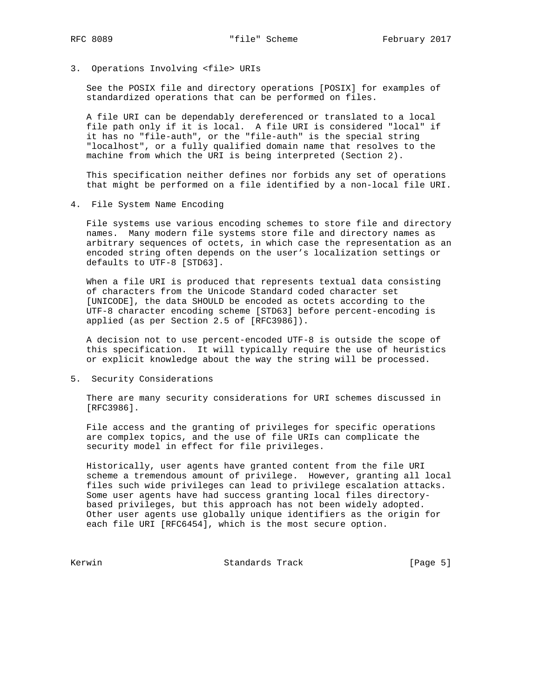3. Operations Involving <file> URIs

 See the POSIX file and directory operations [POSIX] for examples of standardized operations that can be performed on files.

 A file URI can be dependably dereferenced or translated to a local file path only if it is local. A file URI is considered "local" if it has no "file-auth", or the "file-auth" is the special string "localhost", or a fully qualified domain name that resolves to the machine from which the URI is being interpreted (Section 2).

 This specification neither defines nor forbids any set of operations that might be performed on a file identified by a non-local file URI.

4. File System Name Encoding

 File systems use various encoding schemes to store file and directory names. Many modern file systems store file and directory names as arbitrary sequences of octets, in which case the representation as an encoded string often depends on the user's localization settings or defaults to UTF-8 [STD63].

 When a file URI is produced that represents textual data consisting of characters from the Unicode Standard coded character set [UNICODE], the data SHOULD be encoded as octets according to the UTF-8 character encoding scheme [STD63] before percent-encoding is applied (as per Section 2.5 of [RFC3986]).

 A decision not to use percent-encoded UTF-8 is outside the scope of this specification. It will typically require the use of heuristics or explicit knowledge about the way the string will be processed.

5. Security Considerations

 There are many security considerations for URI schemes discussed in [RFC3986].

 File access and the granting of privileges for specific operations are complex topics, and the use of file URIs can complicate the security model in effect for file privileges.

 Historically, user agents have granted content from the file URI scheme a tremendous amount of privilege. However, granting all local files such wide privileges can lead to privilege escalation attacks. Some user agents have had success granting local files directory based privileges, but this approach has not been widely adopted. Other user agents use globally unique identifiers as the origin for each file URI [RFC6454], which is the most secure option.

Kerwin Chamber Standards Track (Page 5)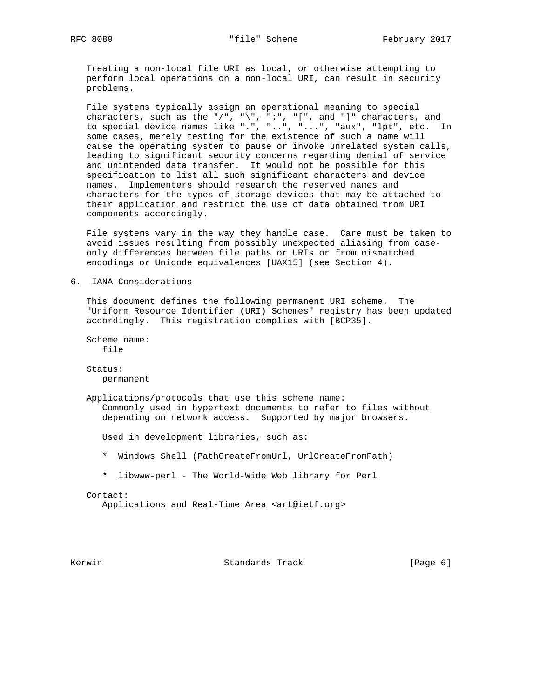Treating a non-local file URI as local, or otherwise attempting to perform local operations on a non-local URI, can result in security problems.

 File systems typically assign an operational meaning to special characters, such as the "/", "\", ":", "[", and "]" characters, and to special device names like ".", "..", "...", "aux", "lpt", etc. In some cases, merely testing for the existence of such a name will cause the operating system to pause or invoke unrelated system calls, leading to significant security concerns regarding denial of service and unintended data transfer. It would not be possible for this specification to list all such significant characters and device names. Implementers should research the reserved names and characters for the types of storage devices that may be attached to their application and restrict the use of data obtained from URI components accordingly.

 File systems vary in the way they handle case. Care must be taken to avoid issues resulting from possibly unexpected aliasing from case only differences between file paths or URIs or from mismatched encodings or Unicode equivalences [UAX15] (see Section 4).

6. IANA Considerations

 This document defines the following permanent URI scheme. The "Uniform Resource Identifier (URI) Schemes" registry has been updated accordingly. This registration complies with [BCP35].

 Scheme name: file

 Status: permanent

 Applications/protocols that use this scheme name: Commonly used in hypertext documents to refer to files without depending on network access. Supported by major browsers.

Used in development libraries, such as:

- \* Windows Shell (PathCreateFromUrl, UrlCreateFromPath)
- \* libwww-perl The World-Wide Web library for Perl

Contact:

Applications and Real-Time Area <art@ietf.org>

Kerwin Standards Track [Page 6]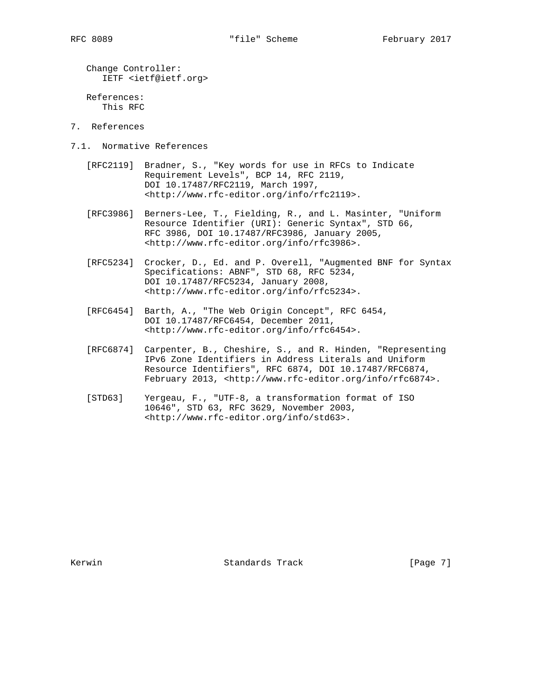Change Controller: IETF <ietf@ietf.org>

 References: This RFC

- 7. References
- 7.1. Normative References
	- [RFC2119] Bradner, S., "Key words for use in RFCs to Indicate Requirement Levels", BCP 14, RFC 2119, DOI 10.17487/RFC2119, March 1997, <http://www.rfc-editor.org/info/rfc2119>.
	- [RFC3986] Berners-Lee, T., Fielding, R., and L. Masinter, "Uniform Resource Identifier (URI): Generic Syntax", STD 66, RFC 3986, DOI 10.17487/RFC3986, January 2005, <http://www.rfc-editor.org/info/rfc3986>.
	- [RFC5234] Crocker, D., Ed. and P. Overell, "Augmented BNF for Syntax Specifications: ABNF", STD 68, RFC 5234, DOI 10.17487/RFC5234, January 2008, <http://www.rfc-editor.org/info/rfc5234>.
	- [RFC6454] Barth, A., "The Web Origin Concept", RFC 6454, DOI 10.17487/RFC6454, December 2011, <http://www.rfc-editor.org/info/rfc6454>.
	- [RFC6874] Carpenter, B., Cheshire, S., and R. Hinden, "Representing IPv6 Zone Identifiers in Address Literals and Uniform Resource Identifiers", RFC 6874, DOI 10.17487/RFC6874, February 2013, <http://www.rfc-editor.org/info/rfc6874>.
	- [STD63] Yergeau, F., "UTF-8, a transformation format of ISO 10646", STD 63, RFC 3629, November 2003, <http://www.rfc-editor.org/info/std63>.

Kerwin Standards Track [Page 7]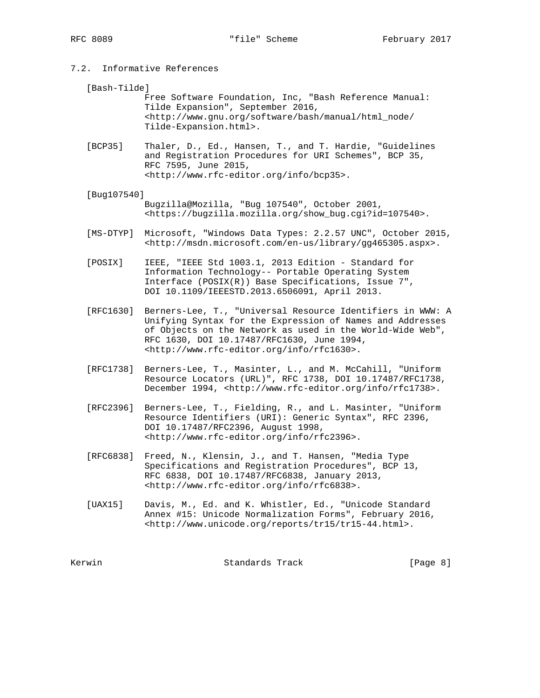- 7.2. Informative References
	- [Bash-Tilde]

 Free Software Foundation, Inc, "Bash Reference Manual: Tilde Expansion", September 2016, <http://www.gnu.org/software/bash/manual/html\_node/ Tilde-Expansion.html>.

- [BCP35] Thaler, D., Ed., Hansen, T., and T. Hardie, "Guidelines and Registration Procedures for URI Schemes", BCP 35, RFC 7595, June 2015, <http://www.rfc-editor.org/info/bcp35>.
- [Bug107540] Bugzilla@Mozilla, "Bug 107540", October 2001, <https://bugzilla.mozilla.org/show\_bug.cgi?id=107540>.
- [MS-DTYP] Microsoft, "Windows Data Types: 2.2.57 UNC", October 2015, <http://msdn.microsoft.com/en-us/library/gg465305.aspx>.
- [POSIX] IEEE, "IEEE Std 1003.1, 2013 Edition Standard for Information Technology-- Portable Operating System Interface (POSIX(R)) Base Specifications, Issue 7", DOI 10.1109/IEEESTD.2013.6506091, April 2013.
- [RFC1630] Berners-Lee, T., "Universal Resource Identifiers in WWW: A Unifying Syntax for the Expression of Names and Addresses of Objects on the Network as used in the World-Wide Web", RFC 1630, DOI 10.17487/RFC1630, June 1994, <http://www.rfc-editor.org/info/rfc1630>.
- [RFC1738] Berners-Lee, T., Masinter, L., and M. McCahill, "Uniform Resource Locators (URL)", RFC 1738, DOI 10.17487/RFC1738, December 1994, <http://www.rfc-editor.org/info/rfc1738>.
- [RFC2396] Berners-Lee, T., Fielding, R., and L. Masinter, "Uniform Resource Identifiers (URI): Generic Syntax", RFC 2396, DOI 10.17487/RFC2396, August 1998, <http://www.rfc-editor.org/info/rfc2396>.
- [RFC6838] Freed, N., Klensin, J., and T. Hansen, "Media Type Specifications and Registration Procedures", BCP 13, RFC 6838, DOI 10.17487/RFC6838, January 2013, <http://www.rfc-editor.org/info/rfc6838>.
- [UAX15] Davis, M., Ed. and K. Whistler, Ed., "Unicode Standard Annex #15: Unicode Normalization Forms", February 2016, <http://www.unicode.org/reports/tr15/tr15-44.html>.

Kerwin Standards Track [Page 8]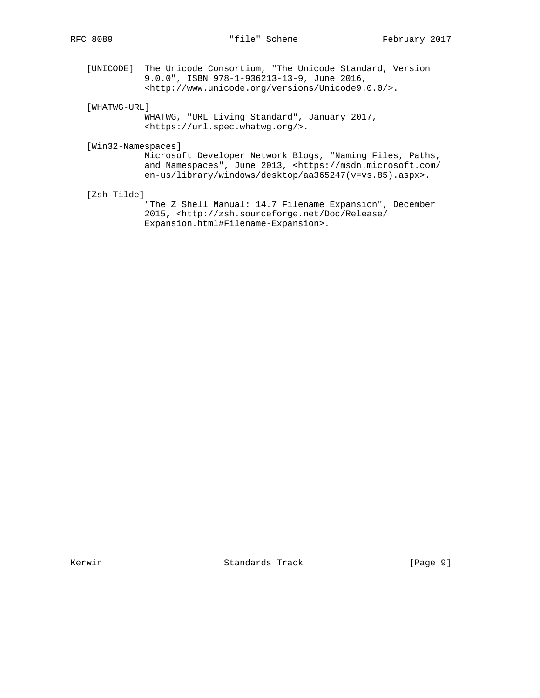[UNICODE] The Unicode Consortium, "The Unicode Standard, Version 9.0.0", ISBN 978-1-936213-13-9, June 2016, <http://www.unicode.org/versions/Unicode9.0.0/>.

[WHATWG-URL]

 WHATWG, "URL Living Standard", January 2017, <https://url.spec.whatwg.org/>.

[Win32-Namespaces]

 Microsoft Developer Network Blogs, "Naming Files, Paths, and Namespaces", June 2013, <https://msdn.microsoft.com/ en-us/library/windows/desktop/aa365247(v=vs.85).aspx>.

[Zsh-Tilde]

 "The Z Shell Manual: 14.7 Filename Expansion", December 2015, <http://zsh.sourceforge.net/Doc/Release/ Expansion.html#Filename-Expansion>.

Kerwin Standards Track [Page 9]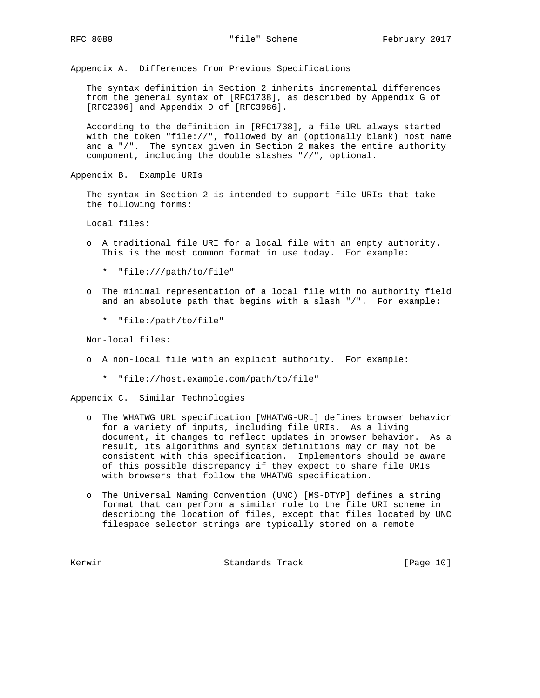Appendix A. Differences from Previous Specifications

 The syntax definition in Section 2 inherits incremental differences from the general syntax of [RFC1738], as described by Appendix G of [RFC2396] and Appendix D of [RFC3986].

 According to the definition in [RFC1738], a file URL always started with the token "file://", followed by an (optionally blank) host name and  $a$  "/". The syntax given in Section 2 makes the entire authority component, including the double slashes "//", optional.

Appendix B. Example URIs

 The syntax in Section 2 is intended to support file URIs that take the following forms:

Local files:

- o A traditional file URI for a local file with an empty authority. This is the most common format in use today. For example:
	- \* "file:///path/to/file"
- o The minimal representation of a local file with no authority field and an absolute path that begins with a slash "/". For example:
	- \* "file:/path/to/file"

Non-local files:

- o A non-local file with an explicit authority. For example:
	- \* "file://host.example.com/path/to/file"

Appendix C. Similar Technologies

- o The WHATWG URL specification [WHATWG-URL] defines browser behavior for a variety of inputs, including file URIs. As a living document, it changes to reflect updates in browser behavior. As a result, its algorithms and syntax definitions may or may not be consistent with this specification. Implementors should be aware of this possible discrepancy if they expect to share file URIs with browsers that follow the WHATWG specification.
- o The Universal Naming Convention (UNC) [MS-DTYP] defines a string format that can perform a similar role to the file URI scheme in describing the location of files, except that files located by UNC filespace selector strings are typically stored on a remote

Kerwin **Standards Track** [Page 10]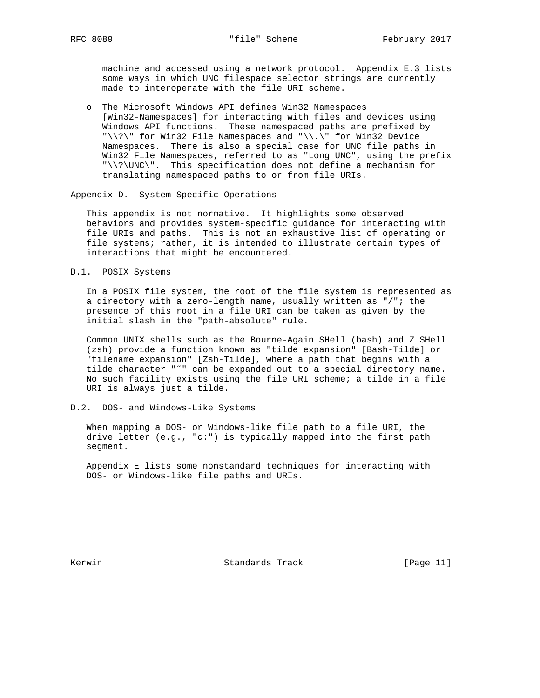machine and accessed using a network protocol. Appendix E.3 lists some ways in which UNC filespace selector strings are currently made to interoperate with the file URI scheme.

 o The Microsoft Windows API defines Win32 Namespaces [Win32-Namespaces] for interacting with files and devices using Windows API functions. These namespaced paths are prefixed by "\\?\" for Win32 File Namespaces and "\\.\" for Win32 Device Namespaces. There is also a special case for UNC file paths in Win32 File Namespaces, referred to as "Long UNC", using the prefix "\\?\UNC\". This specification does not define a mechanism for translating namespaced paths to or from file URIs.

Appendix D. System-Specific Operations

 This appendix is not normative. It highlights some observed behaviors and provides system-specific guidance for interacting with file URIs and paths. This is not an exhaustive list of operating or file systems; rather, it is intended to illustrate certain types of interactions that might be encountered.

D.1. POSIX Systems

 In a POSIX file system, the root of the file system is represented as a directory with a zero-length name, usually written as "/"; the presence of this root in a file URI can be taken as given by the initial slash in the "path-absolute" rule.

 Common UNIX shells such as the Bourne-Again SHell (bash) and Z SHell (zsh) provide a function known as "tilde expansion" [Bash-Tilde] or "filename expansion" [Zsh-Tilde], where a path that begins with a tilde character "˜" can be expanded out to a special directory name. No such facility exists using the file URI scheme; a tilde in a file URI is always just a tilde.

D.2. DOS- and Windows-Like Systems

 When mapping a DOS- or Windows-like file path to a file URI, the drive letter (e.g., "c:") is typically mapped into the first path segment.

 Appendix E lists some nonstandard techniques for interacting with DOS- or Windows-like file paths and URIs.

Kerwin **Standards Track** [Page 11]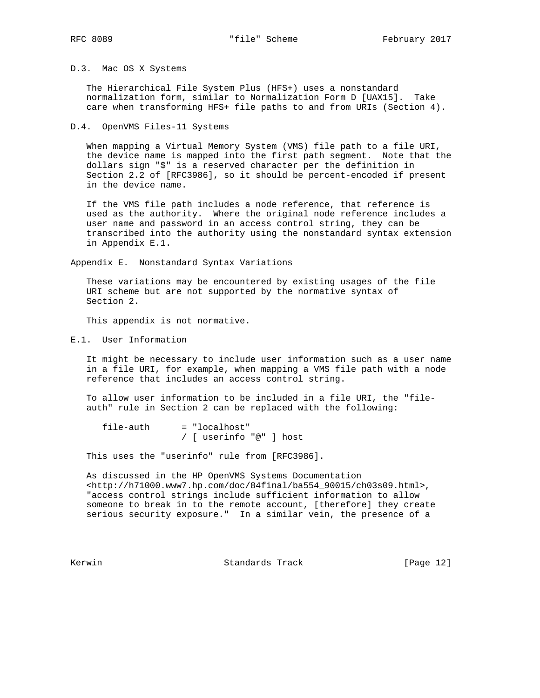### D.3. Mac OS X Systems

 The Hierarchical File System Plus (HFS+) uses a nonstandard normalization form, similar to Normalization Form D [UAX15]. Take care when transforming HFS+ file paths to and from URIs (Section 4).

#### D.4. OpenVMS Files-11 Systems

 When mapping a Virtual Memory System (VMS) file path to a file URI, the device name is mapped into the first path segment. Note that the dollars sign "\$" is a reserved character per the definition in Section 2.2 of [RFC3986], so it should be percent-encoded if present in the device name.

 If the VMS file path includes a node reference, that reference is used as the authority. Where the original node reference includes a user name and password in an access control string, they can be transcribed into the authority using the nonstandard syntax extension in Appendix E.1.

Appendix E. Nonstandard Syntax Variations

 These variations may be encountered by existing usages of the file URI scheme but are not supported by the normative syntax of Section 2.

This appendix is not normative.

E.1. User Information

 It might be necessary to include user information such as a user name in a file URI, for example, when mapping a VMS file path with a node reference that includes an access control string.

 To allow user information to be included in a file URI, the "file auth" rule in Section 2 can be replaced with the following:

 file-auth = "localhost" / [ userinfo "@" ] host

This uses the "userinfo" rule from [RFC3986].

 As discussed in the HP OpenVMS Systems Documentation <http://h71000.www7.hp.com/doc/84final/ba554\_90015/ch03s09.html>, "access control strings include sufficient information to allow someone to break in to the remote account, [therefore] they create serious security exposure." In a similar vein, the presence of a

Kerwin **Example 2018** Standards Track [Page 12]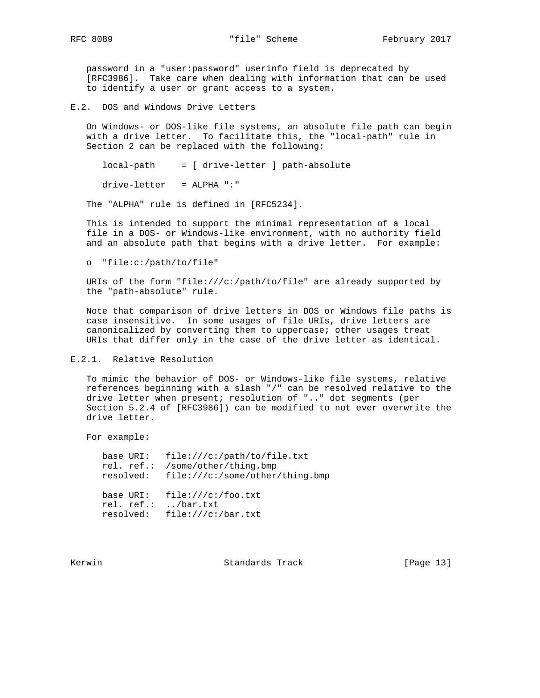password in a "user:password" userinfo field is deprecated by [RFC3986]. Take care when dealing with information that can be used to identify a user or grant access to a system.

E.2. DOS and Windows Drive Letters

 On Windows- or DOS-like file systems, an absolute file path can begin with a drive letter. To facilitate this, the "local-path" rule in Section 2 can be replaced with the following:

local-path = [ drive-letter ] path-absolute

drive-letter = ALPHA ":"

The "ALPHA" rule is defined in [RFC5234].

 This is intended to support the minimal representation of a local file in a DOS- or Windows-like environment, with no authority field and an absolute path that begins with a drive letter. For example:

o "file:c:/path/to/file"

 URIs of the form "file:///c:/path/to/file" are already supported by the "path-absolute" rule.

 Note that comparison of drive letters in DOS or Windows file paths is case insensitive. In some usages of file URIs, drive letters are canonicalized by converting them to uppercase; other usages treat URIs that differ only in the case of the drive letter as identical.

E.2.1. Relative Resolution

 To mimic the behavior of DOS- or Windows-like file systems, relative references beginning with a slash "/" can be resolved relative to the drive letter when present; resolution of ".." dot segments (per Section 5.2.4 of [RFC3986]) can be modified to not ever overwrite the drive letter.

For example:

 base URI: file:///c:/path/to/file.txt rel. ref.: /some/other/thing.bmp resolved: file:///c:/some/other/thing.bmp base URI: file:///c:/foo.txt rel. ref.: ../bar.txt resolved: file:///c:/bar.txt

Kerwin **Standards Track** [Page 13]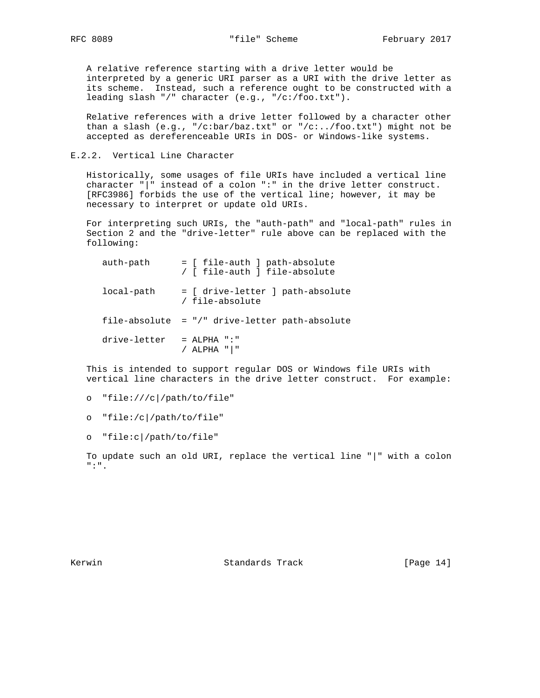A relative reference starting with a drive letter would be interpreted by a generic URI parser as a URI with the drive letter as its scheme. Instead, such a reference ought to be constructed with a leading slash "/" character (e.g., "/c:/foo.txt").

 Relative references with a drive letter followed by a character other than a slash (e.g., "/c:bar/baz.txt" or "/c:../foo.txt") might not be accepted as dereferenceable URIs in DOS- or Windows-like systems.

E.2.2. Vertical Line Character

 Historically, some usages of file URIs have included a vertical line character "|" instead of a colon ":" in the drive letter construct. [RFC3986] forbids the use of the vertical line; however, it may be necessary to interpret or update old URIs.

 For interpreting such URIs, the "auth-path" and "local-path" rules in Section 2 and the "drive-letter" rule above can be replaced with the following:

| auth-path    | = [ file-auth ] path-absolute<br>/ [ file-auth ] file-absolute |
|--------------|----------------------------------------------------------------|
| local-path   | = [ drive-letter ] path-absolute<br>/ file-absolute            |
|              | file-absolute = "/" drive-letter path-absolute                 |
| drive-letter | $=$ ALPHA ":"<br>ALPHA " "                                     |

 This is intended to support regular DOS or Windows file URIs with vertical line characters in the drive letter construct. For example:

o "file:///c|/path/to/file"

o "file:/c|/path/to/file"

o "file:c|/path/to/file"

 To update such an old URI, replace the vertical line "|" with a colon ":".

Kerwin **Standards Track** [Page 14]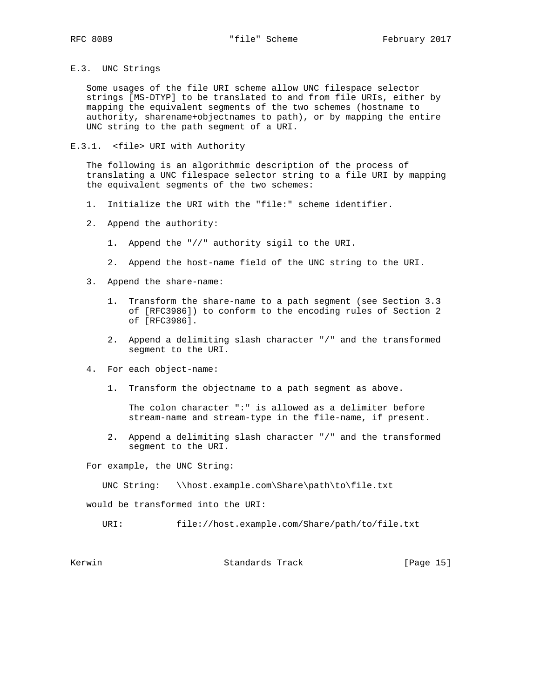# E.3. UNC Strings

 Some usages of the file URI scheme allow UNC filespace selector strings [MS-DTYP] to be translated to and from file URIs, either by mapping the equivalent segments of the two schemes (hostname to authority, sharename+objectnames to path), or by mapping the entire UNC string to the path segment of a URI.

# E.3.1. <file> URI with Authority

 The following is an algorithmic description of the process of translating a UNC filespace selector string to a file URI by mapping the equivalent segments of the two schemes:

- 1. Initialize the URI with the "file:" scheme identifier.
- 2. Append the authority:
	- 1. Append the "//" authority sigil to the URI.
	- 2. Append the host-name field of the UNC string to the URI.
- 3. Append the share-name:
	- 1. Transform the share-name to a path segment (see Section 3.3 of [RFC3986]) to conform to the encoding rules of Section 2 of [RFC3986].
	- 2. Append a delimiting slash character "/" and the transformed segment to the URI.
- 4. For each object-name:
	- 1. Transform the objectname to a path segment as above.

 The colon character ":" is allowed as a delimiter before stream-name and stream-type in the file-name, if present.

 2. Append a delimiting slash character "/" and the transformed segment to the URI.

For example, the UNC String:

UNC String: \\host.example.com\Share\path\to\file.txt

would be transformed into the URI:

URI: file://host.example.com/Share/path/to/file.txt

Kerwin Standards Track [Page 15]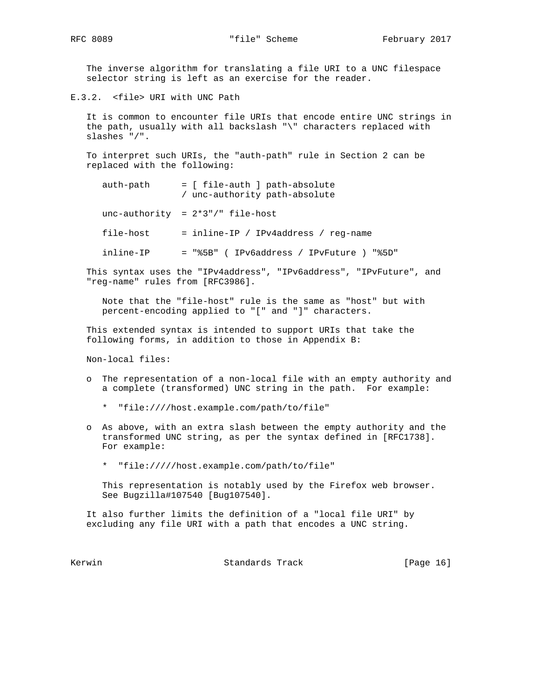The inverse algorithm for translating a file URI to a UNC filespace selector string is left as an exercise for the reader.

E.3.2. <file> URI with UNC Path

 It is common to encounter file URIs that encode entire UNC strings in the path, usually with all backslash "\" characters replaced with slashes "/".

 To interpret such URIs, the "auth-path" rule in Section 2 can be replaced with the following:

 auth-path = [ file-auth ] path-absolute / unc-authority path-absolute

unc-authority =  $2*3"$ /" file-host

- file-host = inline-IP / IPv4address / reg-name
- inline-IP = "%5B" ( IPv6address / IPvFuture ) "%5D"

 This syntax uses the "IPv4address", "IPv6address", "IPvFuture", and "reg-name" rules from [RFC3986].

 Note that the "file-host" rule is the same as "host" but with percent-encoding applied to "[" and "]" characters.

 This extended syntax is intended to support URIs that take the following forms, in addition to those in Appendix B:

Non-local files:

- o The representation of a non-local file with an empty authority and a complete (transformed) UNC string in the path. For example:
	- \* "file:////host.example.com/path/to/file"
- o As above, with an extra slash between the empty authority and the transformed UNC string, as per the syntax defined in [RFC1738]. For example:
	- \* "file://///host.example.com/path/to/file"

 This representation is notably used by the Firefox web browser. See Bugzilla#107540 [Bug107540].

 It also further limits the definition of a "local file URI" by excluding any file URI with a path that encodes a UNC string.

Kerwin Chamber Standards Track (Page 16)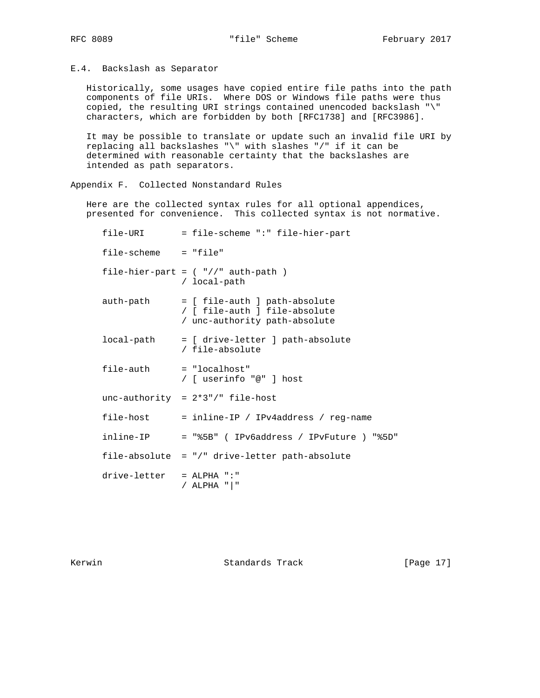E.4. Backslash as Separator

 Historically, some usages have copied entire file paths into the path components of file URIs. Where DOS or Windows file paths were thus copied, the resulting URI strings contained unencoded backslash "\" characters, which are forbidden by both [RFC1738] and [RFC3986].

 It may be possible to translate or update such an invalid file URI by replacing all backslashes "\" with slashes "/" if it can be determined with reasonable certainty that the backslashes are intended as path separators.

Appendix F. Collected Nonstandard Rules

 Here are the collected syntax rules for all optional appendices, presented for convenience. This collected syntax is not normative.

| file-URI                 | = file-scheme ":" file-hier-part                                                                |
|--------------------------|-------------------------------------------------------------------------------------------------|
| file-scheme = "file"     |                                                                                                 |
|                          | file-hier-part = $($ "//" auth-path $)$<br>/ local-path                                         |
| auth-path                | = [ file-auth ] path-absolute<br>/ [ file-auth ] file-absolute<br>/ unc-authority path-absolute |
| local-path               | = [ drive-letter ] path-absolute<br>/ file-absolute                                             |
| file-auth                | $= "localhost"$<br>/ [ userinfo "@" ] host                                                      |
|                          | unc-authority = $2*3*/$ file-host                                                               |
| file-host                | = inline-IP / IPv4address / reg-name                                                            |
| inline-IP                | = "%5B" (IPv6address / IPvFuture ) "%5D"                                                        |
|                          | file-absolute = "/" drive-letter path-absolute                                                  |
| drive-letter = ALPHA ":" | / ALPHA " "                                                                                     |

Kerwin **Standards Track** [Page 17]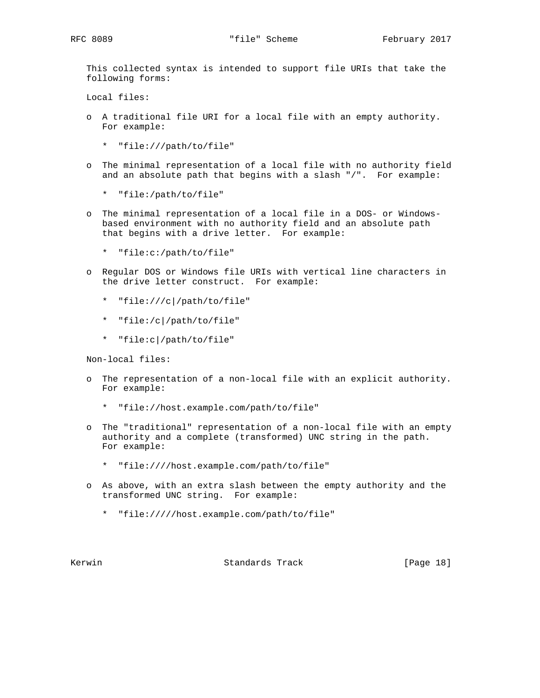This collected syntax is intended to support file URIs that take the following forms:

Local files:

- o A traditional file URI for a local file with an empty authority. For example:
	- \* "file:///path/to/file"
- o The minimal representation of a local file with no authority field and an absolute path that begins with a slash "/". For example:
	- \* "file:/path/to/file"
- o The minimal representation of a local file in a DOS- or Windows based environment with no authority field and an absolute path that begins with a drive letter. For example:
	- \* "file:c:/path/to/file"
- o Regular DOS or Windows file URIs with vertical line characters in the drive letter construct. For example:
	- \* "file:///c|/path/to/file"
	- \* "file:/c|/path/to/file"
	- \* "file:c|/path/to/file"

Non-local files:

- o The representation of a non-local file with an explicit authority. For example:
	- \* "file://host.example.com/path/to/file"
- o The "traditional" representation of a non-local file with an empty authority and a complete (transformed) UNC string in the path. For example:
	- \* "file:////host.example.com/path/to/file"
- o As above, with an extra slash between the empty authority and the transformed UNC string. For example:
	- \* "file://///host.example.com/path/to/file"

Kerwin **Standards Track** [Page 18]